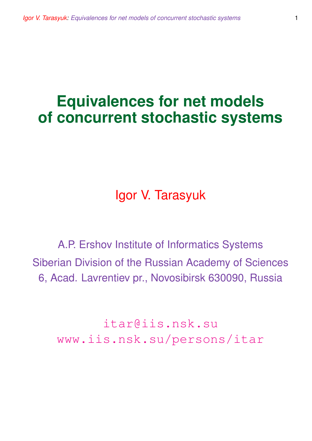# **Equivalences for net models of concurrent stochastic systems**

Igor V. Tarasyuk

A.P. Ershov Institute of Informatics Systems Siberian Division of the Russian Academy of Sciences 6, Acad. Lavrentiev pr., Novosibirsk 630090, Russia

itar@iis.nsk.su www.iis.nsk.su/persons/itar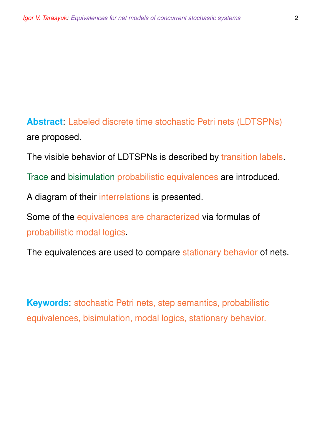**Abstract**: Labeled discrete time stochastic Petri nets (LDTSPNs) are proposed.

The visible behavior of LDTSPNs is described by transition labels.

Trace and bisimulation probabilistic equivalences are introduced.

A diagram of their interrelations is presented.

Some of the equivalences are characterized via formulas of probabilistic modal logics.

The equivalences are used to compare stationary behavior of nets.

**Keywords**: stochastic Petri nets, step semantics, probabilistic equivalences, bisimulation, modal logics, stationary behavior.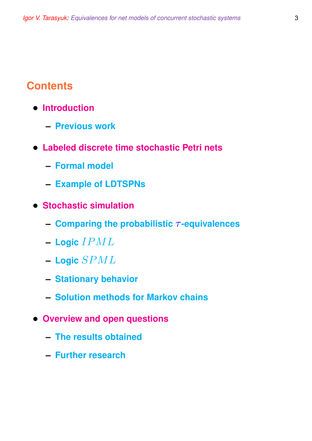# **Contents**

- **Introduction**
	- **– Previous work**
- **Labeled discrete time stochastic Petri nets**
	- **– Formal model**
	- **– Example of LDTSPNs**
- **Stochastic simulation**
	- **– Comparing the probabilistic** τ **-equivalences**
	- **– Logic** IPML
	- **– Logic** SPML
	- **– Stationary behavior**
	- **– Solution methods for Markov chains**
- **Overview and open questions**
	- **– The results obtained**
	- **– Further research**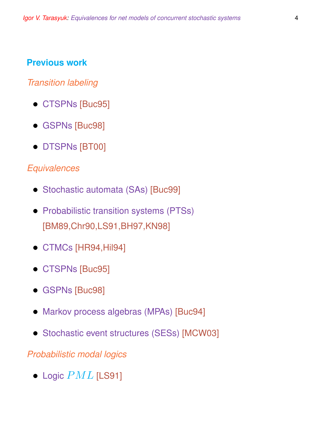#### **Previous work**

#### *Transition labeling*

- CTSPNs [Buc95]
- GSPNs [Buc98]
- DTSPNs [BT00]

#### *Equivalences*

- Stochastic automata (SAs) [Buc99]
- Probabilistic transition systems (PTSs) [BM89,Chr90,LS91,BH97,KN98]
- CTMCs [HR94,Hil94]
- CTSPNs [Buc95]
- GSPNs [Buc98]
- Markov process algebras (MPAs) [Buc94]
- Stochastic event structures (SESs) [MCW03]

#### *Probabilistic modal logics*

• Logic  $PML$  [LS91]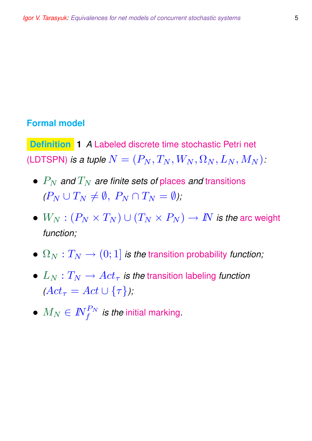#### **Formal model**

**Definition 1** *A* Labeled discrete time stochastic Petri net (LDTSPN) *is a tuple*  $N = (P_N, T_N, W_N, \Omega_N, L_N, M_N)$ :

- $\bullet$   $P_N$  *and*  $T_N$  *are finite sets of places and transitions*  $(P_N \cup T_N \neq \emptyset, P_N \cap T_N = \emptyset)$ ;
- $W_N : (P_N \times T_N) \cup (T_N \times P_N) \to \mathbb{N}$  *is the arc weight function;*
- $\Omega_N : T_N \to (0,1]$  *is the transition probability function;*
- $L_N: T_N \to Act_\tau$  is the transition labeling function  $(Act_{\tau} = Act \cup \{\tau\})$ ;
- $\bullet$   $M_N \in I\!\!N_f^{P_N}$  *is the* initial marking.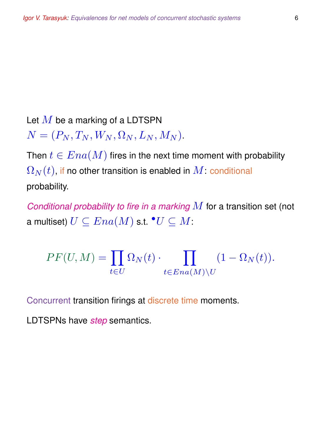Let  $M$  be a marking of a LDTSPN  $N = (P_N, T_N, W_N, \Omega_N, L_N, M_N).$ 

Then  $t \in Ena(M)$  fires in the next time moment with probability  $\Omega_N(t)$ , if no other transition is enabled in  $M$ : conditional probability.

*Conditional probability to fire in a marking* M for a transition set (not a multiset)  $U\subseteq Ena(M)$  s.t.  $^\bullet U\subseteq M$ :

$$
PF(U, M) = \prod_{t \in U} \Omega_N(t) \cdot \prod_{t \in Ena(M) \setminus U} (1 - \Omega_N(t)).
$$

Concurrent transition firings at discrete time moments.

LDTSPNs have *step* semantics.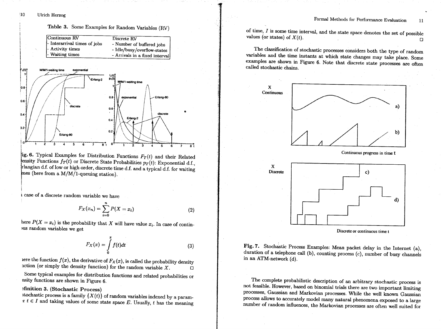

ig. 6. Typical Examples for Distribution Functions  $F_T(t)$  and their Related ensity Functions  $f_T(t)$  or Discrete State Probabilities  $p_T(t)$ : Exponential d.f., Flangian d.f. of low or high order, discrete time d.f. and a typical d.f. for waiting mes (here from a M/M/1-queuing station).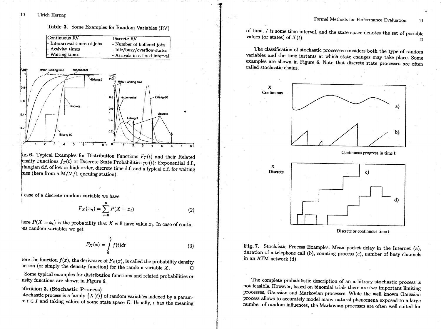

Discrete or continuous time t

Fig. 7. Stochastic Process Examples: Mean packet delay in the Internet (a), duration of a telephone call (b), counting process (c), number of busy channels in an ATM-network (d).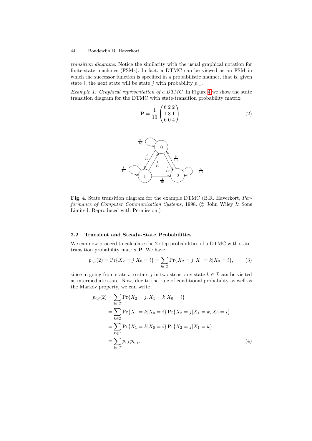*Example 1. Graphical representation of a DTMC.* In Figure 4 we show the state transition diagram for the DTMC with state-transition probability matrix

$$
\mathbf{P} = \frac{1}{10} \begin{pmatrix} 6 & 2 & 2 \\ 1 & 8 & 1 \\ 6 & 0 & 4 \end{pmatrix} . \tag{2}
$$



**Fig. 4.** State transition diagram for the example DTMC (B.R. Haverkort, *Performance of Computer Communication Systems*, 1998. C John Wiley & Sons Limited. Reproduced with Permission.)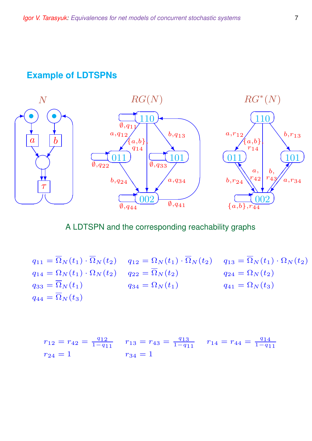## **Example of LDTSPNs**



A LDTSPN and the corresponding reachability graphs

 $q_{11} = \overline{\Omega}_N(t_1) \cdot \overline{\Omega}_N(t_2)$   $q_{12} = \Omega_N(t_1) \cdot \overline{\Omega}_N(t_2)$   $q_{13} = \overline{\Omega}_N(t_1) \cdot \Omega_N(t_2)$  $q_{14} = \Omega_N(t_1) \cdot \Omega_N(t_2)$   $q_{22} = \overline{\Omega}_N(t_2)$   $q_{24} = \Omega_N(t_2)$  $q_{33} = \overline{\Omega}_N(t_1)$   $q_{34} = \Omega_N(t_1)$   $q_{41} = \Omega_N(t_3)$  $q_{44} = \overline{\Omega}_N(t_3)$ 

$$
r_{12} = r_{42} = \frac{q_{12}}{1 - q_{11}} \qquad r_{13} = r_{43} = \frac{q_{13}}{1 - q_{11}} \qquad r_{14} = r_{44} = \frac{q_{14}}{1 - q_{11}}
$$

$$
r_{24} = 1 \qquad r_{34} = 1
$$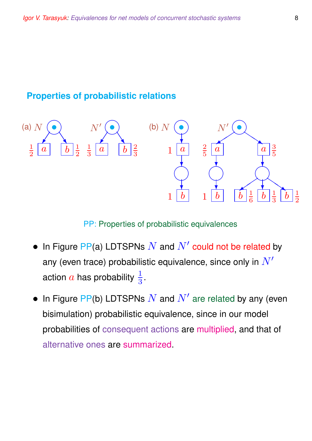# **Properties of probabilistic relations**



PP: Properties of probabilistic equivalences

- In Figure PP(a) LDTSPNs  $N$  and  $N'$  could not be related by any (even trace) probabilistic equivalence, since only in  $N'$ action  $a$  has probability  $\frac{1}{3}.$
- In Figure PP(b) LDTSPNs  $N$  and  $N'$  are related by any (even bisimulation) probabilistic equivalence, since in our model probabilities of consequent actions are multiplied, and that of alternative ones are summarized.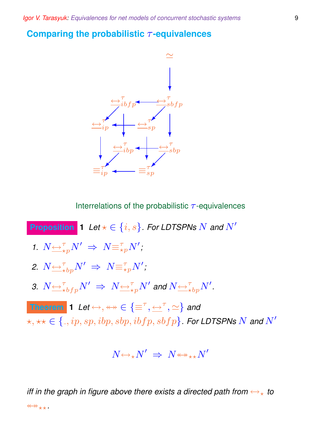#### **Comparing the probabilistic τ-equivalences**



Interrelations of the probabilistic  $\tau$ -equivalences

**Proposition 1** *Let*  $\star \in \{i, s\}$ *. For LDTSPNs*  $N$  *and*  $N'$ *1.*  $N \underbrace{\leftrightarrow}^{\tau}_{\star p} N' \Rightarrow N \equiv^{\tau}_{\star p} N'$ ; 2.  $N{\Longleftrightarrow^\tau_{\star}}{}_bp^N{}' \;\Rightarrow\; N{\equiv^\tau_{\star}}{}_pN'$  ; *3.*  $N$   $\hookrightarrow$   $\underset{*}{\hookrightarrow}$   $\underset{*}{N}$   $\hookrightarrow$   $N$   $\hookrightarrow$   $\underset{*}{\hookrightarrow}$   $N'$  and  $N$   $\hookrightarrow$   $\underset{*}{\hookrightarrow}$   $\underset{*}{\hookrightarrow}$   $N'$  . **Theorem 1** *Let*  $\leftrightarrow$ ,  $\leftrightarrow \Join \in {\equiv^{\tau}, \leftrightarrow^{\tau}, \simeq}$  and  $\{\star,\star\star\in\{\_,ip,sp,ibp, sbp, ibfp, sbfp\}$ . For LDTSPNs  $N$  and  $N'$ 

$$
N {\hookrightarrow_{\star}} N' \;\Rightarrow\; N {\leftrightarrow_{\star\star}} N'
$$

*iff in the graph in figure above there exists a directed path from*  $\leftrightarrow_{\star}$  to  $\leftrightarrow$ \*\*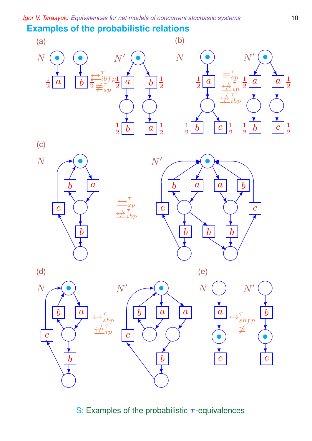# **Examples of the probabilistic relations**





(c)







(e)

(d)







S: Examples of the probabilistic  $\tau$ -equivalences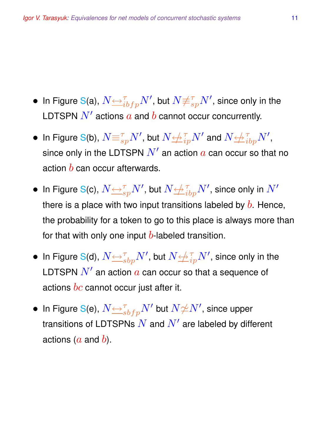- $\bullet \,$  In Figure S(a),  $N{\triangleq}^{\tau}_{ibfp}N',$  but  $N{\not\equiv}^{\tau}_{sp}N',$  since only in the LDTSPN  $N'$  actions  $a$  and  $b$  cannot occur concurrently.
- In Figure S(b), N≡<sup>τ</sup> spN<sup>0</sup> , but N↔/ τ ipN<sup>0</sup> and N↔/ τ ibpN<sup>0</sup> , since only in the LDTSPN  $N^\prime$  an action  $a$  can occur so that no action  $b$  can occur afterwards.
- $\bullet \;$  In Figure S(c),  $N{\triangleq}^\tau_{sp}N'$ , but  $N{\triangleq}^\tau_{ibp}N'$ , since only in  $N'$ there is a place with two input transitions labeled by  $b$ . Hence, the probability for a token to go to this place is always more than for that with only one input  $b$ -labeled transition.
- $\bullet \;$  In Figure S(d),  $N{\triangleq}^{\tau}_{sbp}N',$  but  $N{\triangleq}^{\tau}_{ip}N',$  since only in the LDTSPN  $N'$  an action  $a$  can occur so that a sequence of actions  $bc$  cannot occur just after it.
- $\bullet \,$  In Figure S(e),  $N{\triangleq}^{\tau}_{sbfp}N'$  but  $N{\not\simeq}N',$  since upper transitions of LDTSPNs  $\overline{N}$  and  $\overline{N}^\prime$  are labeled by different actions ( $a$  and  $b$ ).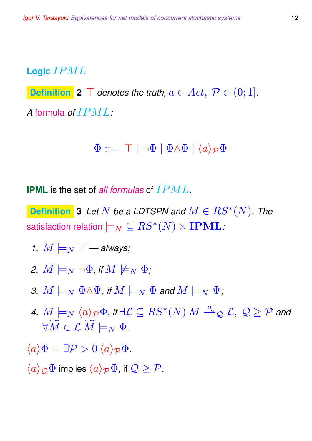## **Logic** IPML

**Definition 2**  $\top$  *denotes the truth,*  $a \in Act$ ,  $\mathcal{P} \in (0,1]$ *. A* formula *of* IPML*:*

$$
\Phi ::= \top | \neg \Phi | \Phi \land \Phi | \langle a \rangle_{\mathcal{P}} \Phi
$$

**IPML** is the set of *all formulas* of IPML.

**Definition** 3 Let  $N$  be a LDTSPN and  $M \in RS^*(N)$ . The satisfaction relation  $\models_N \ \subseteq RS^*(N) \times \mathbf{IPML}$  :

- *1.*  $M \models_N \top$  always;
- *2.*  $M \models_N \neg \Phi$ , if  $M \not\models_N \Phi$ ;
- 3.  $M \models_N \Phi \land \Psi$ , if  $M \models_N \Phi$  and  $M \models_N \Psi$ ;
- *4.*  $M\models_N \langle a \rangle_{\mathcal{P}}$  $\Phi$ *, if*  $\exists \mathcal{L} \subseteq RS^*(N)$  $M \stackrel{a}{\rightharpoonup}_{\mathcal{Q}} \mathcal{L}, \; \mathcal{Q} \geq \mathcal{P}$  *and*  $\forall \widetilde{M} \in \mathcal{L} \; \widetilde{M} \models_N \Phi.$
- $\langle a \rangle \Phi = \exists \mathcal{P} > 0 \langle a \rangle_{\mathcal{P}} \Phi.$
- $\langle a \rangle_{\mathcal{O}} \Phi$  implies  $\langle a \rangle_{\mathcal{P}} \Phi$ , if  $\mathcal{Q} > \mathcal{P}$ .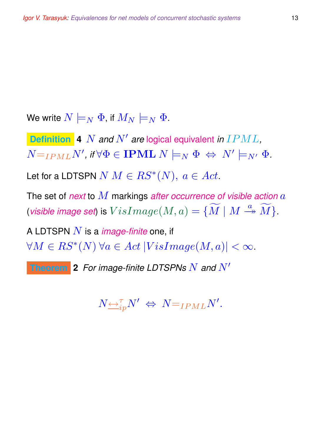We write  $N \models_N \Phi$ , if  $M_N \models_N \Phi$ .

**Definition 4** N *and* N<sup>0</sup> *are* logical equivalent *in* IPML*,*  $N=I_{PML}N'$ , if  $\forall \Phi \in \textbf{IPML} \ N \models_N \Phi \ \Leftrightarrow \ N' \models_{N'} \Phi$ .

Let for a LDTSPN  $N M \in RS^*(N),\ a \in Act.$ 

The set of *next* to M markings *after occurrence of visible action* a (*visible image set*) is  $VisImage(M, a) = \{ \widetilde{M} \mid M \stackrel{a}{\twoheadrightarrow} \widetilde{M} \}.$ 

A LDTSPN N is a *image-finite* one, if  $\forall M \in RS^*(N)$   $\forall a \in Act$   $|VisImage(M, a)| < \infty$ .

**Theorem** 2 *For image-finite LDTSPNs*  $N$  *and*  $N'$ 

$$
N\underline{\leftrightarrow}^{\tau}_{ip}N'\ \Leftrightarrow\ N=\iota_{PML}N'.
$$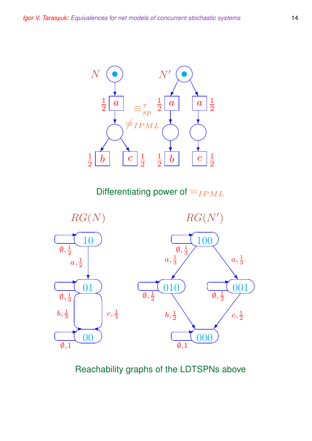

Differentiating power of  $=_{IPML}$ 



Reachability graphs of the LDTSPNs above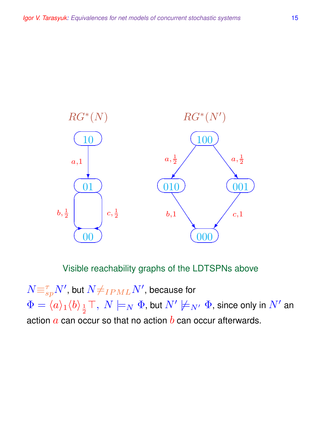

Visible reachability graphs of the LDTSPNs above

 $N {\equiv_{sp}^\tau} N'$ , but  $N{\neq_{IPML}}N'$ , because for  $\Phi=\langle a\rangle_1\langle b\rangle_{\frac{1}{2}}\top,\ N\models_N\Phi,$  but  $N'\not\models_{N'}\Phi,$  since only in  $N'$  an action  $\alpha$  can occur so that no action  $\overline{b}$  can occur afterwards.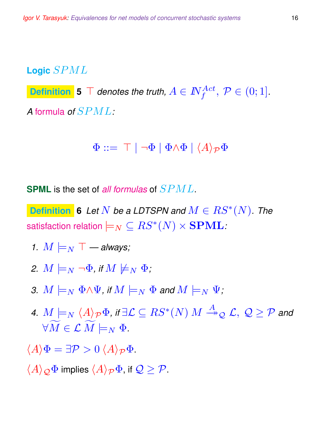# **Logic** SPML

 $\begin{array}{l} \textbf{Definition}\end{array}$  **5**  $\top$  denotes the truth,  $A\in I\!\!N_f^{Act},\ \mathcal{P}\in(0;1].$ *A* formula *of* SPML*:*

$$
\Phi ::= \top | \neg \Phi | \Phi \land \Phi | \langle A \rangle_{\mathcal{P}} \Phi
$$

**SPML** is the set of *all formulas* of SPML.

**Definition 6** Let  $N$  be a LDTSPN and  $M \in RS^*(N)$ . The satisfaction relation  $\models_N \ \subseteq RS^*(N) \times \mathbf{SPML}$  :

- *1.*  $M \models_N \top$  always;
- *2.*  $M \models_N \neg \Phi$ , if  $M \not\models_N \Phi$ ;
- 3.  $M \models_N \Phi \land \Psi$ , if  $M \models_N \Phi$  and  $M \models_N \Psi$ ;
- *4.*  $M\models_N \langle A \rangle_{\mathcal{P}}$  $\Phi$ *, if*  $\exists \mathcal{L} \subseteq RS^*(N)$  $M \stackrel{A}{\twoheadrightarrow} _{\mathcal{Q}} \mathcal{L}, \ \mathcal{Q} \geq \mathcal{P}$  *and*  $\forall \widetilde{M} \in \mathcal{L} \; \widetilde{M} \models_N \Phi.$
- $\langle A \rangle \Phi = \exists \mathcal{P} > 0 \, \langle A \rangle_{\mathcal{P}} \Phi.$
- $\langle A \rangle_{\mathcal{O}} \Phi$  implies  $\langle A \rangle_{\mathcal{P}} \Phi$ , if  $\mathcal{Q} > \mathcal{P}$ .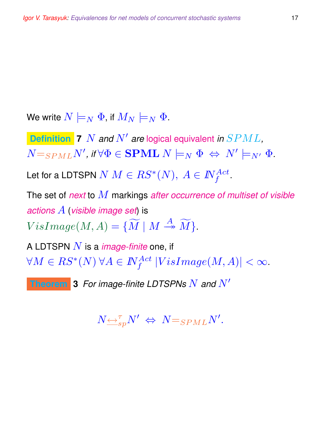We write  $N \models_N \Phi$ , if  $M_N \models_N \Phi$ .

**Definition 7** N *and* N<sup>0</sup> *are* logical equivalent *in* SPML*,*  $N =_{SPML} N'$ , if  $\forall \Phi \in \mathbf{SPML} \ N \models_N \Phi \ \Leftrightarrow \ N' \models_{N'} \Phi$ .

Let for a LDTSPN  $N$   $M \in RS^*(N), \ A \in I\!\!N_f^{Act}.$ 

The set of *next* to M markings *after occurrence of multiset of visible actions* A (*visible image set*) is  $VisImage(M, A) = {\widetilde{M} \mid M \stackrel{A}{\rightarrow} \widetilde{M}}.$ 

A LDTSPN N is a *image-finite* one, if  $\forall M \in RS^*(N) \ \forall A \in I\!\!N_f^{Act} \ |VisImage(M,A)| < \infty.$ 

**Theorem 3** For image-finite LDTSPNs  $N$  and  $N'$ 

$$
N\underline{\leftrightarrow}^{\tau}_{sp}N'\iff N=_{SPML}N'.
$$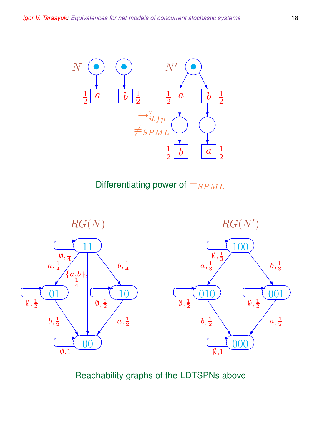

Differentiating power of  $=_{SPML}$ 



## Reachability graphs of the LDTSPNs above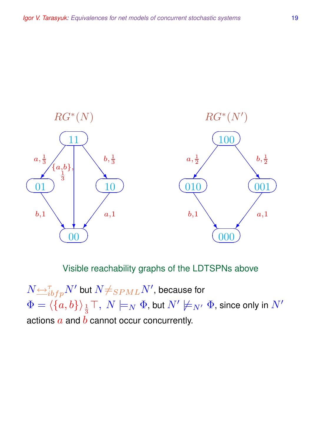

## Visible reachability graphs of the LDTSPNs above

 $N{\triangleq^{\tau}_{ibfp}}N'$  but  $N{\neq_{SPML}}N'$ , because for  $\Phi = \langle \{a, b\} \rangle_{\frac{1}{2}}$  $_{\frac{1}{3}}\top,\ N\models_{N}\Phi,$  but  $N'\not\models_{N'}\Phi,$  since only in  $N'$ actions  $a$  and  $b$  cannot occur concurrently.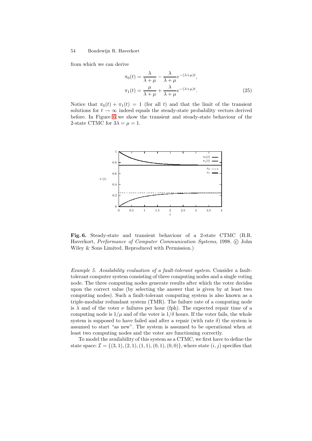

**Fig. 6.** Steady-state and transient behaviour of a 2-state CTMC (B.R. Haverkort, *Performance of Computer Communication Systems*, 1998. C John Wiley & Sons Limited. Reproduced with Permission.)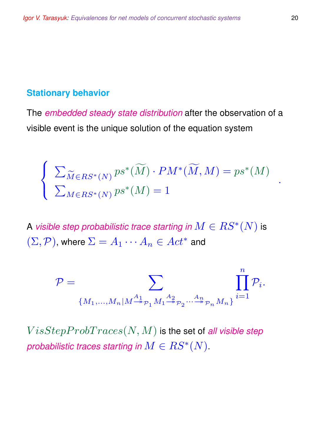## **Stationary behavior**

The *embedded steady state distribution* after the observation of a visible event is the unique solution of the equation system

$$
\begin{cases} \sum_{\widetilde{M} \in RS^*(N)} ps^*(\widetilde{M}) \cdot PM^*(\widetilde{M}, M) = ps^*(M) \\ \sum_{M \in RS^*(N)} ps^*(M) = 1 \end{cases}
$$

A *visible step probabilistic trace starting in*  $M\in RS^*(N)$  *is*  $(\Sigma, \mathcal{P})$ , where  $\Sigma = A_1 \cdots A_n \in Act^*$  and

$$
\mathcal{P} = \sum_{\{M_1,\ldots,M_n | M \stackrel{A_1}{\twoheadrightarrow} \mathcal{P}_1 M_1 \stackrel{A_2}{\twoheadrightarrow} \mathcal{P}_2 \cdots \stackrel{A_n}{\twoheadrightarrow} \mathcal{P}_n M_n\}} \prod_{i=1}^n \mathcal{P}_i.
$$

 $VisStepProbTraces(N, M)$  is the set of *all visible step probabilistic traces starting in*  $M \in RS^*(N)$ *.* 

.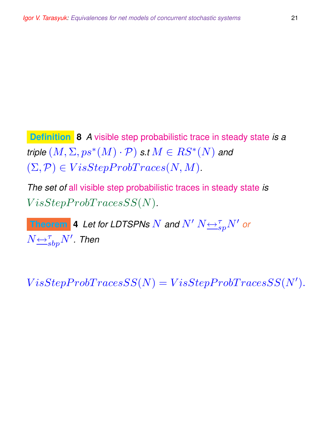**Definition 8** *A* visible step probabilistic trace in steady state *is a triple*  $(M, \Sigma, ps^*(M) \cdot \mathcal{P})$  *s.t*  $M \in RS^*(N)$  and  $(\Sigma, \mathcal{P}) \in VisStepProbTraces(N, M).$ 

*The set of* all visible step probabilistic traces in steady state *is*  $VisStepProbTracesSS(N).$ 

**Theorem 4** Let for LDTSPNs  $N$  and  $N'$   $N$   $\underset{\simeq}{\leftrightarrow}^{\tau}_{sp}N'$  or  $N{\overline{\leftrightarrow}}^{\tau}_{sbp}N'$ . Then

 $VisStepProbability = VisStepProbability$ ).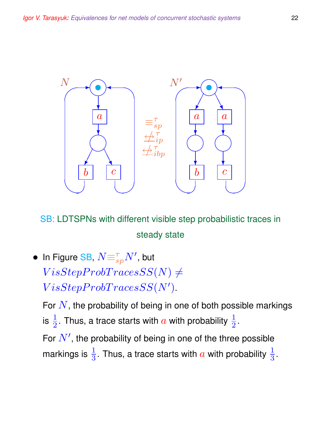

SB: LDTSPNs with different visible step probabilistic traces in steady state

 $\bullet \;$  In Figure SB,  $N {\equiv_{sp}^\tau} N'$ , but  $VisStepProbTracesSS(N) \neq$  $VisStepProbTraces SS(N').$ 

For  $N$ , the probability of being in one of both possible markings is  $\frac{1}{2}$ . Thus, a trace starts with  $a$  with probability  $\frac{1}{2}.$ For  $N'$ , the probability of being in one of the three possible

markings is  $\frac{1}{3}.$  Thus, a trace starts with  $a$  with probability  $\frac{1}{3}.$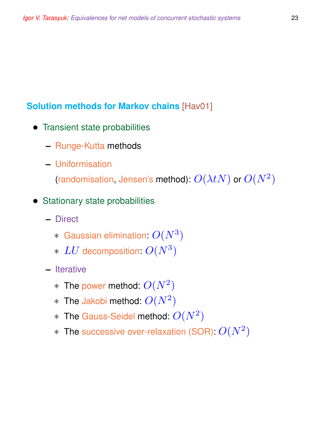# **Solution methods for Markov chains** [Hav01]

- Transient state probabilities
	- **–** Runge-Kutta methods
	- **–** Uniformisation

(randomisation, Jensen's method):  $O(\lambda t N)$  or  $O(N^2)$ 

#### • Stationary state probabilities

- **–** Direct
	- $*$  Gaussian elimination:  $O(N^3)$
	- ∗ LU decomposition: O(N<sup>3</sup> )
- **–** Iterative
	- $*$  The power method:  $O(N^2)$
	- $*$  The Jakobi method:  $O(N^2)$
	- $*$  The Gauss-Seidel method:  $O(N^2)$
	- $*$  The successive over-relaxation (SOR):  $O(N^2)$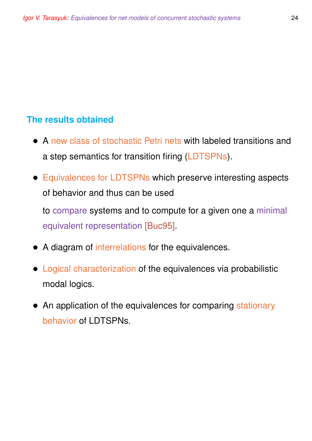## **The results obtained**

- A new class of stochastic Petri nets with labeled transitions and a step semantics for transition firing (LDTSPNs).
- Equivalences for LDTSPNs which preserve interesting aspects of behavior and thus can be used

to compare systems and to compute for a given one a minimal equivalent representation [Buc95].

- A diagram of interrelations for the equivalences.
- Logical characterization of the equivalences via probabilistic modal logics.
- An application of the equivalences for comparing stationary behavior of LDTSPNs.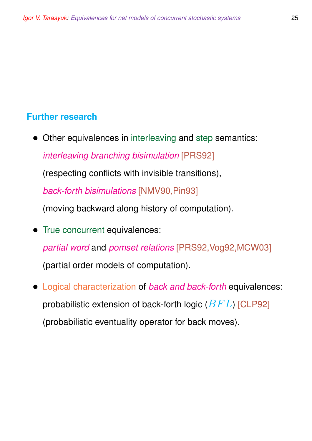#### **Further research**

• Other equivalences in interleaving and step semantics: *interleaving branching bisimulation* [PRS92]

(respecting conflicts with invisible transitions),

*back-forth bisimulations* [NMV90,Pin93]

(moving backward along history of computation).

• True concurrent equivalences:

*partial word* and *pomset relations* [PRS92,Vog92,MCW03]

(partial order models of computation).

• Logical characterization of *back and back-forth* equivalences: probabilistic extension of back-forth logic  $(BFL)$  [CLP92] (probabilistic eventuality operator for back moves).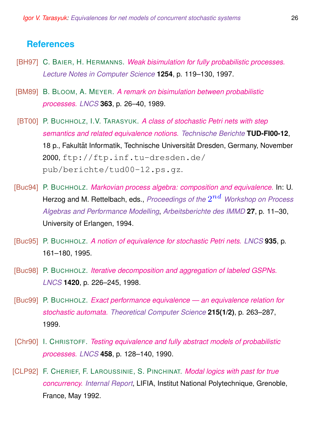#### **References**

- [BH97] C. BAIER, H. HERMANNS. *Weak bisimulation for fully probabilistic processes. Lecture Notes in Computer Science* **1254**, p. 119–130, 1997.
- [BM89] B. BLOOM, A. MEYER. *A remark on bisimulation between probabilistic processes. LNCS* **363**, p. 26–40, 1989.
- [BT00] P. BUCHHOLZ, I.V. TARASYUK. *A class of stochastic Petri nets with step semantics and related equivalence notions. Technische Berichte* **TUD-FI00-12**, 18 p., Fakultät Informatik, Technische Universität Dresden, Germany, November 2000, ftp://ftp.inf.tu-dresden.de/ pub/berichte/tud00-12.ps.gz.
- [Buc94] P. BUCHHOLZ. *Markovian process algebra: composition and equivalence.* In: U. Herzog and M. Rettelbach, eds., *Proceedings of the*  $2^{nd}$  *Workshop on Process Algebras and Performance Modelling*, *Arbeitsberichte des IMMD* **27**, p. 11–30, University of Erlangen, 1994.
- [Buc95] P. BUCHHOLZ. *A notion of equivalence for stochastic Petri nets. LNCS* **935**, p. 161–180, 1995.
- [Buc98] P. BUCHHOLZ. *Iterative decomposition and aggregation of labeled GSPNs. LNCS* **1420**, p. 226–245, 1998.
- [Buc99] P. BUCHHOLZ. *Exact performance equivalence an equivalence relation for stochastic automata. Theoretical Computer Science* **215(1/2)**, p. 263–287, 1999.
- [Chr90] I. CHRISTOFF. *Testing equivalence and fully abstract models of probabilistic processes. LNCS* **458**, p. 128–140, 1990.
- [CLP92] F. CHERIEF, F. LAROUSSINIE, S. PINCHINAT. *Modal logics with past for true concurrency. Internal Report*, LIFIA, Institut National Polytechnique, Grenoble, France, May 1992.